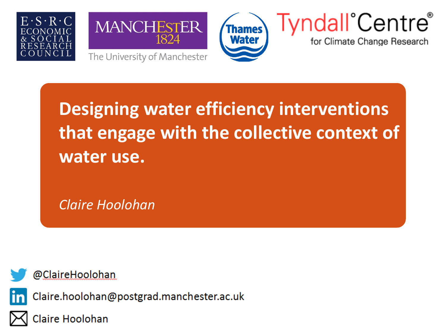





# **Tyndall** Centre

for Climate Change Research

**Designing water efficiency interventions that engage with the collective context of water use.**

*Claire Hoolohan*

@ClaireHoolohan

Claire.hoolohan@postgrad.manchester.ac.uk



Claire Hoolohan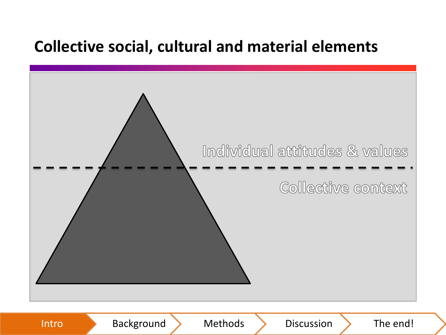#### **Collective social, cultural and material elements**

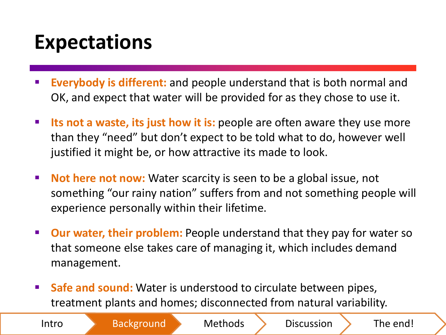### **Expectations**

- **Everybody is different:** and people understand that is both normal and OK, and expect that water will be provided for as they chose to use it.
- **Its not a waste, its just how it is:** people are often aware they use more than they "need" but don't expect to be told what to do, however well justified it might be, or how attractive its made to look.
- **Not here not now:** Water scarcity is seen to be a global issue, not something "our rainy nation" suffers from and not something people will experience personally within their lifetime.
- **Dur water, their problem:** People understand that they pay for water so that someone else takes care of managing it, which includes demand management.
- **Safe and sound:** Water is understood to circulate between pipes, treatment plants and homes; disconnected from natural variability.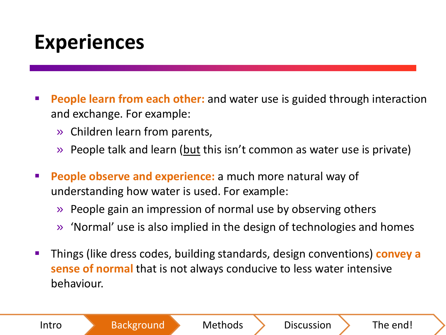### **Experiences**

- **People learn from each other:** and water use is guided through interaction and exchange. For example:
	- » Children learn from parents,
	- » People talk and learn (but this isn't common as water use is private)
- **People observe and experience:** a much more natural way of understanding how water is used. For example:
	- » People gain an impression of normal use by observing others
	- » 'Normal' use is also implied in the design of technologies and homes
- Things (like dress codes, building standards, design conventions) **convey a sense of normal** that is not always conducive to less water intensive behaviour.

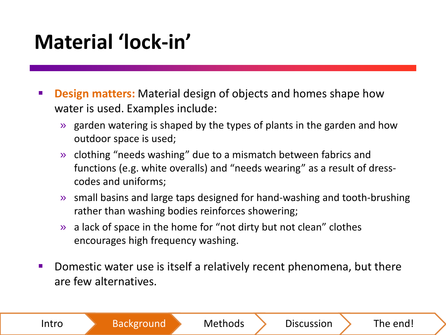## **Material 'lock-in'**

- **Design matters:** Material design of objects and homes shape how water is used. Examples include:
	- » garden watering is shaped by the types of plants in the garden and how outdoor space is used;
	- » clothing "needs washing" due to a mismatch between fabrics and functions (e.g. white overalls) and "needs wearing" as a result of dresscodes and uniforms;
	- » small basins and large taps designed for hand-washing and tooth-brushing rather than washing bodies reinforces showering;
	- » a lack of space in the home for "not dirty but not clean" clothes encourages high frequency washing.
- Domestic water use is itself a relatively recent phenomena, but there are few alternatives.

| Intro | <b>Background</b> | <b>Methods</b> | <b>Discussion</b> | The end! |
|-------|-------------------|----------------|-------------------|----------|
|-------|-------------------|----------------|-------------------|----------|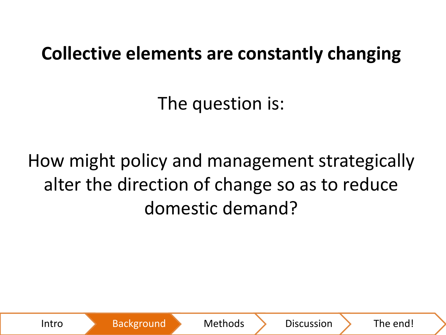#### **Collective elements are constantly changing**

The question is:

How might policy and management strategically alter the direction of change so as to reduce domestic demand?

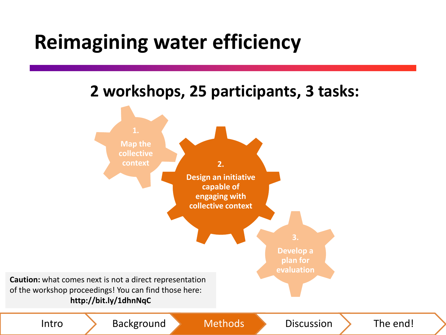#### **Reimagining water efficiency**

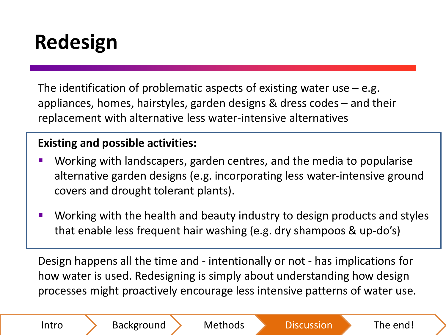## **Redesign**

The identification of problematic aspects of existing water use  $-$  e.g. appliances, homes, hairstyles, garden designs & dress codes – and their replacement with alternative less water-intensive alternatives

#### **Existing and possible activities:**

- Working with landscapers, garden centres, and the media to popularise alternative garden designs (e.g. incorporating less water-intensive ground covers and drought tolerant plants).
- Working with the health and beauty industry to design products and styles that enable less frequent hair washing (e.g. dry shampoos & up-do's)

Design happens all the time and - intentionally or not - has implications for how water is used. Redesigning is simply about understanding how design processes might proactively encourage less intensive patterns of water use.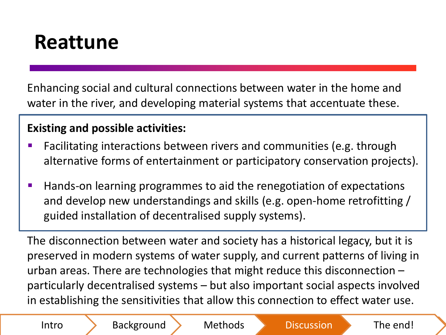#### **Reattune**

Enhancing social and cultural connections between water in the home and water in the river, and developing material systems that accentuate these.

#### **Existing and possible activities:**

- **Facilitating interactions between rivers and communities (e.g. through** alternative forms of entertainment or participatory conservation projects).
- Hands-on learning programmes to aid the renegotiation of expectations and develop new understandings and skills (e.g. open-home retrofitting / guided installation of decentralised supply systems).

The disconnection between water and society has a historical legacy, but it is preserved in modern systems of water supply, and current patterns of living in urban areas. There are technologies that might reduce this disconnection – particularly decentralised systems – but also important social aspects involved in establishing the sensitivities that allow this connection to effect water use.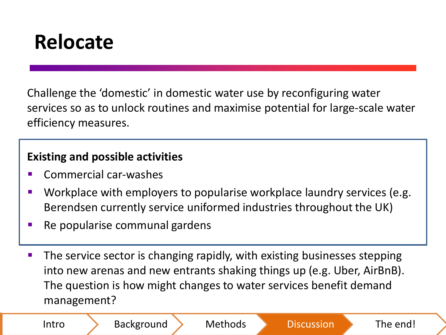#### **Relocate**

Challenge the 'domestic' in domestic water use by reconfiguring water services so as to unlock routines and maximise potential for large-scale water efficiency measures.

#### **Existing and possible activities**

- Commercial car-washes
- Workplace with employers to popularise workplace laundry services (e.g. Berendsen currently service uniformed industries throughout the UK)
- $\blacksquare$  Re popularise communal gardens
- The service sector is changing rapidly, with existing businesses stepping into new arenas and new entrants shaking things up (e.g. Uber, AirBnB). The question is how might changes to water services benefit demand management?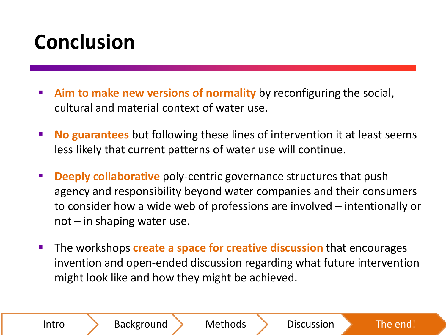## **Conclusion**

- **Aim to make new versions of normality** by reconfiguring the social, cultural and material context of water use.
- **No guarantees** but following these lines of intervention it at least seems less likely that current patterns of water use will continue.
- **Deeply collaborative** poly-centric governance structures that push agency and responsibility beyond water companies and their consumers to consider how a wide web of professions are involved – intentionally or  $not$  – in shaping water use.
- **The workshops create a space for creative discussion** that encourages invention and open-ended discussion regarding what future intervention might look like and how they might be achieved.

Intro Background Methods Discussion The end!